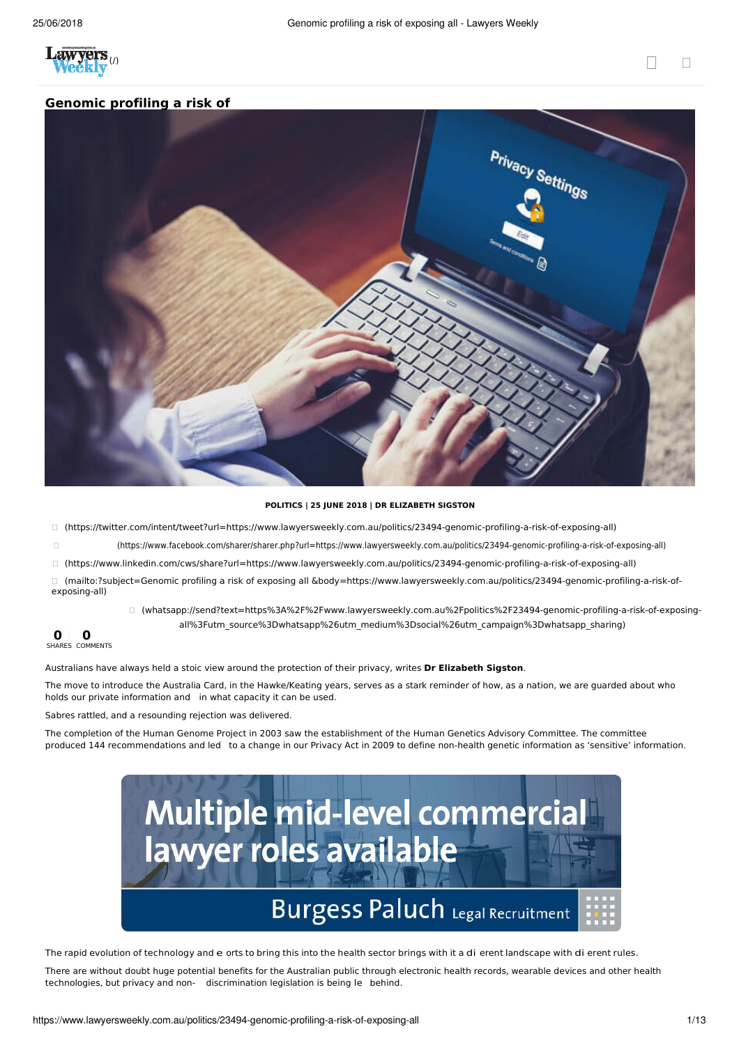

## **Genomic profiling a risk of**



## **POLITICS | 25 JUNE 2018 | DR ELIZABETH SIGSTON**

(https://twitter.com/intent/tweet?url=https://www.lawyersweekly.com.au/politics/23494-genomic-profiling-a-risk-of-exposing-all)

(https://www.facebook.com/sharer/sharer.php?url=https://www.lawyersweekly.com.au/politics/23494-genomic-profiling-a-risk-of-exposing-all)

(https://www.linkedin.com/cws/share?url=https://www.lawyersweekly.com.au/politics/23494-genomic-profiling-a-risk-of-exposing-all)

 (mailto:?subject=Genomic profiling a risk of exposing all &body=https://www.lawyersweekly.com.au/politics/23494-genomic-profiling-a-risk-ofexposing-all)

> (whatsapp://send?text=https%3A%2F%2Fwww.lawyersweekly.com.au%2Fpolitics%2F23494-genomic-profiling-a-risk-of-exposingall%3Futm\_source%3Dwhatsapp%26utm\_medium%3Dsocial%26utm\_campaign%3Dwhatsapp\_sharing)

## **0 0** SHARES COMMENTS

Australians have always held a stoic view around the protection of their privacy, writes **Dr Elizabeth Sigston**.

The move to introduce the Australia Card, in the Hawke/Keating years, serves as a stark reminder of how, as a nation, we are guarded about who holds our private information and in what capacity it can be used.

Sabres rattled, and a resounding rejection was delivered.

The completion of the Human Genome Project in 2003 saw the establishment of the Human Genetics Advisory Committee. The committee produced 144 recommendations and led to a change in our Privacy Act in 2009 to define non-health genetic information as 'sensitive' information.



The rapid evolution of technology and e orts to bring this into the health sector brings with it a di erent landscape with di erent rules.

There are without doubt huge potential benefits for the Australian public through electronic health records, wearable devices and other health technologies, but privacy and non- discrimination legislation is being le behind.